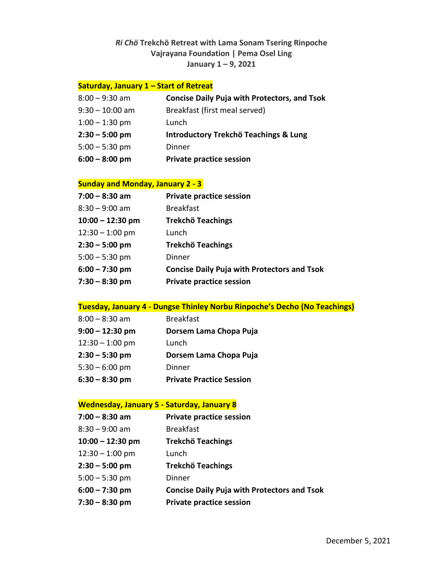## *Ri Chö* **Trekchö Retreat with Lama Sonam Tsering Rinpoche Vajrayana Foundation | Pema Osel Ling January 1 – 9, 2021**

### **Saturday, January 1 – Start of Retreat**

| $8:00 - 9:30$ am  | <b>Concise Daily Puja with Protectors, and Tsok</b> |
|-------------------|-----------------------------------------------------|
| $9:30 - 10:00$ am | Breakfast (first meal served)                       |
| $1:00 - 1:30$ pm  | Lunch                                               |
| $2:30 - 5:00$ pm  | Introductory Trekchö Teachings & Lung               |
| $5:00 - 5:30$ pm  | Dinner                                              |
| $6:00 - 8:00$ pm  | <b>Private practice session</b>                     |

#### **Sunday and Monday, January 2 - 3**

| $7:00 - 8:30$ am   | <b>Private practice session</b>                    |
|--------------------|----------------------------------------------------|
| $8:30 - 9:00$ am   | <b>Breakfast</b>                                   |
| $10:00 - 12:30$ pm | <b>Trekchö Teachings</b>                           |
| $12:30 - 1:00$ pm  | Lunch                                              |
| $2:30 - 5:00$ pm   | <b>Trekchö Teachings</b>                           |
| $5:00 - 5:30$ pm   | Dinner                                             |
| $6:00 - 7:30$ pm   | <b>Concise Daily Puja with Protectors and Tsok</b> |
| $7:30 - 8:30$ pm   | <b>Private practice session</b>                    |

### **Tuesday, January 4 - Dungse Thinley Norbu Rinpoche's Decho (No Teachings)**

| $8:00 - 8:30$ am  | <b>Breakfast</b>                |
|-------------------|---------------------------------|
| $9:00 - 12:30$ pm | Dorsem Lama Chopa Puja          |
| $12:30 - 1:00$ pm | Lunch                           |
| $2:30 - 5:30$ pm  | Dorsem Lama Chopa Puja          |
| $5:30 - 6:00$ pm  | Dinner                          |
| $6:30 - 8:30$ pm  | <b>Private Practice Session</b> |

### **Wednesday, January 5 - Saturday, January 8**

| $7:00 - 8:30$ am   | <b>Private practice session</b>                    |
|--------------------|----------------------------------------------------|
| $8:30 - 9:00$ am   | <b>Breakfast</b>                                   |
| $10:00 - 12:30$ pm | <b>Trekchö Teachings</b>                           |
| $12:30 - 1:00$ pm  | Lunch                                              |
| $2:30 - 5:00$ pm   | <b>Trekchö Teachings</b>                           |
| $5:00 - 5:30$ pm   | Dinner                                             |
| $6:00 - 7:30$ pm   | <b>Concise Daily Puja with Protectors and Tsok</b> |
| 7:30 – 8:30 pm     | <b>Private practice session</b>                    |